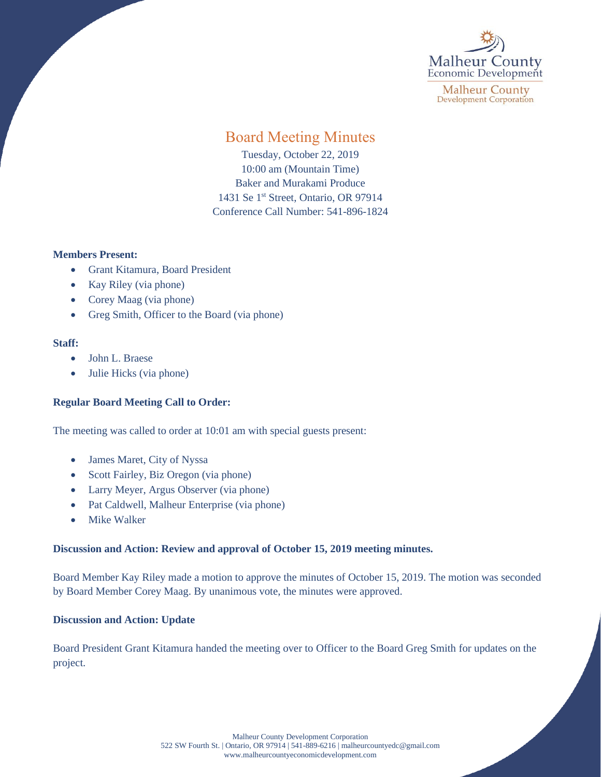

**Malheur County Development Corporation** 

# Board Meeting Minutes

Tuesday, October 22, 2019 10:00 am (Mountain Time) Baker and Murakami Produce 1431 Se 1<sup>st</sup> Street, Ontario, OR 97914 Conference Call Number: 541-896-1824

## **Members Present:**

- Grant Kitamura, Board President
- Kay Riley (via phone)
- Corey Maag (via phone)
- Greg Smith, Officer to the Board (via phone)

## **Staff:**

- John L. Braese
- Julie Hicks (via phone)

# **Regular Board Meeting Call to Order:**

The meeting was called to order at 10:01 am with special guests present:

- James Maret, City of Nyssa
- Scott Fairley, Biz Oregon (via phone)
- Larry Meyer, Argus Observer (via phone)
- Pat Caldwell, Malheur Enterprise (via phone)
- Mike Walker

# **Discussion and Action: Review and approval of October 15, 2019 meeting minutes.**

Board Member Kay Riley made a motion to approve the minutes of October 15, 2019. The motion was seconded by Board Member Corey Maag. By unanimous vote, the minutes were approved.

## **Discussion and Action: Update**

Board President Grant Kitamura handed the meeting over to Officer to the Board Greg Smith for updates on the project.